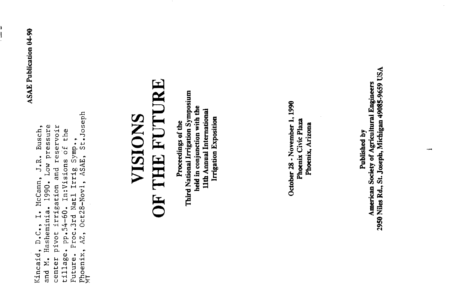**ASAE** Publication 04-90

Ľ

St.Joseph Kincaid, D.C., I. McCann, J.R. Busch,<br>and M. Hasheminia. 1990. Low pressure center pivot irrigation and reservoir<br>tillage. pp.54-60. In:Visions of the Future. Proc.3rd Natl Irrig Symp., Phoenix, AZ, Oct28-Novl, ASAE,

# **OF THE FUTURE VISIONS**

Third National Irrigation Symposium held in conjunction with the 11th Annual International **Irrigation Exposition** Proceedings of the

October 28 - November 1, 1990 Phoenix Civic Plaza Phoenix, Arizona

2950 Niles Rd., St. Joseph, Michigan 49085-9659 USA American Society of Agricultural Engineers Published by

 $\overline{\phantom{a}}$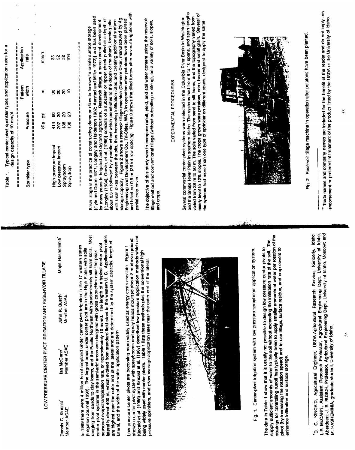|                                                                                                                                                                                                                                                                                                                                                                                                                                                                                                                                                                                                                                                                                                                                                                                                                                                                                                                                                                                                                                                                                                                                                                                                                        | Typical center pivot sprinkler types and application rates for a<br>计数据开始<br>design capacity of 10 mm/d.<br>Table 1.                                                                                                                                                                                                                                                                                                                                                                                                                                                                                                                                                                                                                                                                                                                                                                                                                                                                                                                           |            |
|------------------------------------------------------------------------------------------------------------------------------------------------------------------------------------------------------------------------------------------------------------------------------------------------------------------------------------------------------------------------------------------------------------------------------------------------------------------------------------------------------------------------------------------------------------------------------------------------------------------------------------------------------------------------------------------------------------------------------------------------------------------------------------------------------------------------------------------------------------------------------------------------------------------------------------------------------------------------------------------------------------------------------------------------------------------------------------------------------------------------------------------------------------------------------------------------------------------------|------------------------------------------------------------------------------------------------------------------------------------------------------------------------------------------------------------------------------------------------------------------------------------------------------------------------------------------------------------------------------------------------------------------------------------------------------------------------------------------------------------------------------------------------------------------------------------------------------------------------------------------------------------------------------------------------------------------------------------------------------------------------------------------------------------------------------------------------------------------------------------------------------------------------------------------------------------------------------------------------------------------------------------------------|------------|
|                                                                                                                                                                                                                                                                                                                                                                                                                                                                                                                                                                                                                                                                                                                                                                                                                                                                                                                                                                                                                                                                                                                                                                                                                        | Application<br>rate<br>Pattern<br>tist<br>Pressure<br>             <br>             <br>Sprinkler type                                                                                                                                                                                                                                                                                                                                                                                                                                                                                                                                                                                                                                                                                                                                                                                                                                                                                                                                         |            |
|                                                                                                                                                                                                                                                                                                                                                                                                                                                                                                                                                                                                                                                                                                                                                                                                                                                                                                                                                                                                                                                                                                                                                                                                                        | 计计算计算<br>2011年11月11日                                                                                                                                                                                                                                                                                                                                                                                                                                                                                                                                                                                                                                                                                                                                                                                                                                                                                                                                                                                                                           | 计数据计算机     |
| LOW PRESSURE CENTER PIVOT IRRIGATION AND RESERVOIR TILLAGE                                                                                                                                                                                                                                                                                                                                                                                                                                                                                                                                                                                                                                                                                                                                                                                                                                                                                                                                                                                                                                                                                                                                                             | mm/h<br>Ε<br>g<br>kPa                                                                                                                                                                                                                                                                                                                                                                                                                                                                                                                                                                                                                                                                                                                                                                                                                                                                                                                                                                                                                          |            |
| asheminia<br>H pi¦eN<br>John R. Busch<br>lan McCann <sup>a</sup>                                                                                                                                                                                                                                                                                                                                                                                                                                                                                                                                                                                                                                                                                                                                                                                                                                                                                                                                                                                                                                                                                                                                                       | వ్ల<br>ន<br>ន្ល<br>ୡ<br>8<br>8<br>414<br>$\overline{5}$<br>High pressure impact<br>Low pressure impact                                                                                                                                                                                                                                                                                                                                                                                                                                                                                                                                                                                                                                                                                                                                                                                                                                                                                                                                         |            |
| Member ASAE<br>Member ASAE<br>Dennis C. Kincald<br>Member ASAE                                                                                                                                                                                                                                                                                                                                                                                                                                                                                                                                                                                                                                                                                                                                                                                                                                                                                                                                                                                                                                                                                                                                                         | Ŕ<br>ន<br>å<br>g<br>ଅ<br>ଛ<br>38<br>$\frac{8}{2}$<br>Sprayboom<br>Spraydrop                                                                                                                                                                                                                                                                                                                                                                                                                                                                                                                                                                                                                                                                                                                                                                                                                                                                                                                                                                    |            |
| solls. Most<br>lateral is about 400 m, which evolved from standard field sizes in the western U.S. Application rates<br>Kincaid et al. (1986) and Kincaid et al. (1987) described low pressure application methods which are<br>shows a center pivot system with spraybooms and spray heads mounted about 2 m above ground.<br>length of<br>center pivot systems in the semi-arid areas are designed with gross capacities near the peak<br>seasonal evapotranspiration rate, or approximately 10 mm/d. The length of a typical center pivot<br>states<br>Figure 1<br>soils<br>tigh<br>In 1989 there were 4 million ha of cropland under center pivot irrigation in the 17 western<br>(Irrigation Journal 1990). The largest areas under center pivot are in the High Plains with<br>ranging from sands to clay loams, and the Pacific Northwest with predominately silt loam<br>are highest near the outer end of the lateral and are determined by the system capacity.<br>being widely used with center pivots. Table 1 lists these methods plus the conventional<br>Low pressure center pivots are becoming more widely used as energy costs escalate.<br>lateral, and the width of the water application pattern. | and hilled on 0.9 m (36 in) row spacing. Figure 3 shows the tilled furrow after several irrigations with<br>(Lyle and Dixon 1977; Longley and Halderson 1982; Aarstad and Miller 1973)] and has been used<br>storage capacity. Figure 2 shows a reservoir tillage machine (Dammer-Diker, manufactured by Ag.<br>Engineering and Development Co., Tri-Chles, WA <sup>*</sup> ) in operation after potatoes have been planted<br>(Longley (1984), Garvin, et al. (1986)] consists of a subsolier or ripper shank pulled at a depth of<br>about 0.3 m followed by a paddle wheel which penetrates to the depth of the shank, forming pits<br>with small dikes between the pits, thus increasing infitration rates and creating additional surface<br>for many years in irrigated and dryland agriculture. Reservoir tillage, a more recent development<br>Basin tillage is the practice of constructing dams or dikes in furrows to create surface storage<br>计目标<br>Ħ<br>n<br>H<br>$\mathbf{I}$<br>化体性性化体细胞性核核核核核核核核核核核核核<br>partial crop cover. | <br>  <br> |
| pressure sprinklers, and gives average application rates near the outer end of the lateral                                                                                                                                                                                                                                                                                                                                                                                                                                                                                                                                                                                                                                                                                                                                                                                                                                                                                                                                                                                                                                                                                                                             | The objective of this study was to compare runoff, yield, and soil water content using the reservoir<br>tilage method and conventional tillage (without subsolling or diking), on a variety of soils, slopes,<br>and crops.                                                                                                                                                                                                                                                                                                                                                                                                                                                                                                                                                                                                                                                                                                                                                                                                                    |            |
|                                                                                                                                                                                                                                                                                                                                                                                                                                                                                                                                                                                                                                                                                                                                                                                                                                                                                                                                                                                                                                                                                                                                                                                                                        | EXPERIMENTAL PROCEDURES                                                                                                                                                                                                                                                                                                                                                                                                                                                                                                                                                                                                                                                                                                                                                                                                                                                                                                                                                                                                                        |            |
| <b>Ballysia</b><br>$\frac{1}{2}$                                                                                                                                                                                                                                                                                                                                                                                                                                                                                                                                                                                                                                                                                                                                                                                                                                                                                                                                                                                                                                                                                                                                                                                       | and the Snake River Plain in southern Idaho. The systems had from 8 to 10 spans, and span lengths<br>nearly level to 12% slopes. The crops grown were potatoes, corn, beans and small grain. Several of<br>varied from 38 m to 50 m. The soils varied from sand to silt loams, and the topography varied from<br>Several commercial center pivot systems were selected in the Columbia River Basin in Washington<br>the systems had more than one type of sprinkler on different spans, designed to apply the same                                                                                                                                                                                                                                                                                                                                                                                                                                                                                                                             |            |
|                                                                                                                                                                                                                                                                                                                                                                                                                                                                                                                                                                                                                                                                                                                                                                                                                                                                                                                                                                                                                                                                                                                                                                                                                        |                                                                                                                                                                                                                                                                                                                                                                                                                                                                                                                                                                                                                                                                                                                                                                                                                                                                                                                                                                                                                                                |            |
| strategy for controlling runoff has typically been to apply smaller amounts of water per rotation of the<br>soil. The<br>pivot (by increasing the rotation speed) and to use illiage, surface residue, and crop covers to<br>The data in Table 1 show that it is usually not possible to design low pressure center pivots to<br>Fig. 1. Center-pivot irrigation system with low pressure sprayboom application system.<br>supply sufficient amounts of water to the soil without exceeding the infiltration rate of the<br>enhance infitration and surface storage.                                                                                                                                                                                                                                                                                                                                                                                                                                                                                                                                                                                                                                                   | <b>RATION</b>                                                                                                                                                                                                                                                                                                                                                                                                                                                                                                                                                                                                                                                                                                                                                                                                                                                                                                                                                                                                                                  |            |
|                                                                                                                                                                                                                                                                                                                                                                                                                                                                                                                                                                                                                                                                                                                                                                                                                                                                                                                                                                                                                                                                                                                                                                                                                        | Fig. 2. Reservoir tillage machine in operation after potatoes have been planted.                                                                                                                                                                                                                                                                                                                                                                                                                                                                                                                                                                                                                                                                                                                                                                                                                                                                                                                                                               |            |
| Agricultural Engineer, USDA-Agricultural Research Service, Kimberly, Idaho;<br>I. R. McCANN, Assistant Research Professor, Agricultural Engineering Dept. University of Idaho,<br>Aberdeen; J. R. BUSCH, Professor, Agricultural Engineering Dept. University of Idaho, Moscow; and<br>M. HASHEMINIA, graduate student, University of Idaho.<br>KINCAID,<br>$\ddot{\circ}$<br>ø                                                                                                                                                                                                                                                                                                                                                                                                                                                                                                                                                                                                                                                                                                                                                                                                                                        | Trade names and company names are included for the benefit of the reader and do not imply any<br>endorsement or preferential treatment of the product listed by the USDA or the University of Idaho.                                                                                                                                                                                                                                                                                                                                                                                                                                                                                                                                                                                                                                                                                                                                                                                                                                           |            |

 $\mathbf{z}$ 

 $\bar{\Omega}$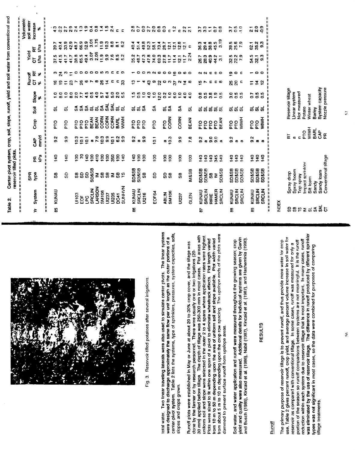

Fig. 3. Reservoir-tilled potatoes after several irrigations.

total water. Two linear traveling laterals were also used to simulate center pivots. The linear systems center-pivot system. Table 2 lists the systems, type of sprinklers, pressures, system capacities, solls, were designed to discharge approximately the same flow per unit length as the outer portions of a slopes and crops grown.

from about 5 m to 10 m depending upon the crop row spacing. The upslope ends of the plots were 30 mm) applied before tillage. The depth of tillage was 250-300 mm in most cases. Plot areas with uniform soil and slope were selected in the outer 2 to 4 spans where application rates were highest. from 10 m to 50 m depending upon the area of uniform soil and slope available. Plot width varied Plots were sized to fit within one span of a pivot to eliminate wheeltrack effects. Plot length varied Runoff plots were established in May or June at about 20 to 30% crop cover, and the tillage was done by the farmer or by research personnel. There were usually ore or two irrigations (20dammed to prevent surface runoff from upslope areas.

yield and quality were also measured. Additional details for individual systems are given by Garvin and Busch (1985), Kincaid et al. (1986), Nabil (1987), Kincaid et al. (1987), and Hasheminia (1990). Soil water, and water application and runoff were measured throughout the growing season; crop

### **RESULTS**

#### **Runoff**

was eliminated by the use of reservoir tillage. The difference in runoff produced by different sprinkler use. Table 2 gives percent runoff, crop yield, and average percent volume increase in soil water for reduction within each system due to reservoir tillage that is most important. In many cases, runoff portion of the season so runoff comparisons between systems are not meaningful. It is the runoff The primary purpose of reservoir tillage is to prevent runoff, and thus provide more water for crop reservoir as compared with conventional tillage. In some cases, runoff was measured for only a lypes was not significant in most cases, so the data were combined for purposes of comparing illage treatments.

|              | Table 2                                      | Center-pivot system, crop, soil, slope, runoff, yield and soil water from conventional and<br>reservoir tilled plots. |                 |                         |                 |                            |                                 |                             |                |                     |                                           | 一二尺                            | H |
|--------------|----------------------------------------------|-----------------------------------------------------------------------------------------------------------------------|-----------------|-------------------------|-----------------|----------------------------|---------------------------------|-----------------------------|----------------|---------------------|-------------------------------------------|--------------------------------|---|
|              |                                              | <b>BdS</b>                                                                                                            |                 |                         |                 |                            |                                 | Runoff                      |                | Yield               |                                           | Volumetric<br>soil water       |   |
| ≠            | System                                       | gdA                                                                                                                   | ędy<br>뚠        | mm/d<br><b>a</b>        | Crop            | ទី                         | Slope                           | $\overline{5}$<br>৵         | E<br>X         | g<br>$\overline{5}$ | tha<br>E                                  | <b>Increase</b><br>ð           |   |
| ĸ            |                                              |                                                                                                                       |                 | $\mathbf{I}$            |                 |                            |                                 |                             |                | 川川川                 |                                           | . ო                            |   |
| 93           | KUNAU                                        | 5                                                                                                                     | $rac{1}{40}$    | $\frac{2}{9}$           | ρLd             | ಕ                          | $\frac{1}{2}$<br>$\overline{8}$ | ڥ<br>$\overline{a}$         |                | 37.5                | 40.4<br>39.7                              | $\blacktriangleleft$ $\bowtie$ |   |
|              |                                              | <b>GD</b>                                                                                                             | 140             | 9.9                     | p <sub>TO</sub> | ದ                          | $\ddot{ }$                      | $\overline{z}$              | ల నైల          | $41.5$<br>$41.7$    | $\frac{9}{23}$                            | $\frac{2}{2}$                  |   |
|              |                                              |                                                                                                                       |                 |                         |                 |                            | $\mathbf{a}$                    | ន                           | $\overline{z}$ | 41.7                | 42.9                                      | o,<br>N N                      |   |
|              | UI103                                        | æ                                                                                                                     | 8               | $\frac{3}{2}$           | pro             | $\frac{4}{5}$              | ្ល                              | r                           |                | 38.8                | 48.7                                      | ₩                              |   |
|              | ð                                            | SD                                                                                                                    | 2               | 10.1                    | ρLd             | ్ట్                        |                                 | $\frac{8}{2}$               | $\circ$        | 65.5<br>49.4        | 66.9                                      | ా                              |   |
|              | ں<br>و                                       | SD <sub></sub>                                                                                                        | 140             | $\frac{1}{2}$           | ρLd             | $\boldsymbol{\mathcal{E}}$ |                                 | ဖ                           | ۰              |                     | 52.9                                      | $\frac{9}{10}$                 |   |
|              | <b>SRCLIN</b>                                | <b>SD&amp;SB</b>                                                                                                      | $\frac{8}{2}$   |                         | <b>BEAN</b>     | ಹ                          | <b>25504</b>                    |                             | ۰              | 3.07                | 3.01                                      | $\overline{c}$                 |   |
|              | <b>LARSON</b>                                | Ξ                                                                                                                     | $\frac{1}{2}$   | $\frac{5}{5}$           | <b>BEAN</b>     | ದ                          |                                 | œ                           | $\bullet$      | 2.06                | 1.75                                      | $\overline{0}$                 |   |
|              | <b>SM106</b>                                 | SB                                                                                                                    | <u>ទី</u>       | 10.3                    | M<br>Ro         | $\mathfrak{S}$             | 5.7                             | æ,                          | ທຕ             | $\frac{9}{11}$      | 10.3                                      | $\frac{4}{1}$                  |   |
|              | U1237                                        | 58                                                                                                                    | $\frac{8}{100}$ | ဒ္ဓ                     | CORN            | કૂ                         | 64                              | 혼                           |                | 9.9                 |                                           | $1.5$<br>2.4                   |   |
|              | U1235                                        | $\sum_{i=1}^{n}$                                                                                                      | 350             | $\overline{5}$          | <b>CORN</b>     | <b>SAL</b>                 | 5.0                             | c                           | ∊              | 7.6                 | $\bf{8.8}$                                |                                |   |
|              | <b>DC41</b>                                  | $\frac{8}{5}$                                                                                                         | $\overline{5}$  | 6.2                     | BARL            | ಕ                          | ្តី<br>សំសំ                     | с                           | ε.             | 8.5<br>5.2          | $\overline{\bullet}$                      | $\blacksquare$                 |   |
|              | <b>NVHVUS</b>                                |                                                                                                                       | 140             | $\frac{9}{2}$           | <b>HANN</b>     | ಹ                          |                                 | 8                           | ຶ              |                     | 62                                        | Е                              |   |
| 8            | KUNAU                                        | <b>SD&amp;SB</b>                                                                                                      | 140             | $\mathbf{S}^2$          | pro             | ದ                          | $\frac{15}{10}$                 |                             |                | 35.2                | ₩<br>Ő,                                   |                                |   |
|              | SRCLIN                                       | <b>SD&amp;SB</b>                                                                                                      | SQ              | $\overline{\textbf{c}}$ | <b>D1d</b>      | ದ                          | ះ                               |                             |                | 48.7                | $\frac{4}{5}$                             | 280                            |   |
|              | <b>UI216</b>                                 | 5B                                                                                                                    | $\overline{5}$  | 9.9                     | pro             | న్                         | $\ddot{ }$                      | ₹                           | $\circ$        | 47.3                | 49.8                                      | $\mathbf{S}$                   |   |
|              |                                              |                                                                                                                       |                 |                         |                 |                            | $\ddot{a}$                      | $\boldsymbol{3}$            |                | 47.8                | 52.3                                      | $\overline{2}$                 |   |
|              | EOF64                                        | SO <sub>1</sub>                                                                                                       | $\overline{5}$  | $\overline{10,1}$       | ptd             | న్                         | 100                             | တ                           | <b>0000</b>    | 74.0                | 581                                       | 20                             |   |
|              |                                              |                                                                                                                       |                 |                         |                 |                            |                                 | ଧ୍ୟ                         |                | 69.3                | 73.4                                      | $\overline{0.8}$               |   |
|              | <b>ABLIN</b>                                 | <b>88</b>                                                                                                             | ξ               | æ                       | pld             | ಹ                          | 2.50                            | $\circ \circ \circ$         | $\circ$        | 27.8                | 28.7                                      | $\mathbf{C}$                   |   |
|              | <b>SM106</b>                                 |                                                                                                                       | 8               | $\frac{3}{2}$           | CORN            | న్                         |                                 |                             | $\circ$        | 117                 | 12.1                                      | $\mathbf c$                    |   |
|              |                                              |                                                                                                                       |                 |                         |                 |                            |                                 |                             | e              | $\frac{4}{11}$      | 12.1                                      | $\ddot{5}$                     |   |
|              | UIZ37                                        | 59                                                                                                                    | 8               | 93                      | CORN            | వ్                         | $\ddot{ }$<br>$\ddot{•}$        | $\alpha$ $\tilde{a}$        | $\circ$        | 11.7<br>12.1        | $\frac{1}{2}$ $\frac{1}{2}$ $\frac{1}{2}$ | $\mathbf{c}$                   |   |
|              | GLEN                                         | <b>IM&amp;SB</b>                                                                                                      | 100             | 78                      | <b>BEAN</b>     | ದ                          | $\frac{1}{4}$                   |                             | စဓ             | $\frac{2}{3}$<br>N  |                                           | $\frac{2}{2}$                  |   |
|              |                                              |                                                                                                                       |                 |                         |                 |                            |                                 |                             |                |                     |                                           |                                |   |
| ь            | KUNAU                                        | <b>SD&amp;SB</b>                                                                                                      | $\frac{1}{2}$   | $\frac{2}{9}$           | <b>D1d</b>      | ವ ವ ವ ವ ವ                  | ៓                               | ပ္                          | ໙ ໙            | 26.7                | 36.3                                      | ్ల                             |   |
|              | SRCLIN                                       | <b>SD&amp;SB</b>                                                                                                      | $\frac{6}{2}$   | $\blacksquare$          | ρLd             |                            | ះ                               |                             |                | 28.3                | 29.4                                      | 33                             |   |
|              | RIRIE                                        | 58                                                                                                                    | 140             | $\overline{9}$          | <b>PIO</b>      |                            | $\frac{8}{3}$                   | c                           | с              | 40.9                | 38.8                                      | $\overline{z}$                 |   |
|              | HAMER                                        | ≧                                                                                                                     | 345             | $\overline{0}$          |                 |                            | $\frac{9}{2}$ 5                 | с                           | с              | $44.2$<br>3.1       | 45.5<br>3.19                              | $\overline{c}$                 |   |
|              | SRCLIN                                       | <b>SD&amp;SB</b>                                                                                                      | 140             | $\mathbf{a}$            | <b>BEAN</b>     |                            |                                 |                             | $\circ$        |                     |                                           | $\overline{0.8}$               |   |
| 8            | KUNAU                                        | 50&SB                                                                                                                 | $\frac{9}{40}$  | $\frac{2}{9}$           | pto             | ಹ                          |                                 | 25                          | ē              |                     |                                           |                                |   |
|              | SRCLIN                                       |                                                                                                                       | $\frac{1}{40}$  | $\mathbf{G}$            | pro             | ಹ                          |                                 | S <sup>o</sup>              | $\bullet$      |                     |                                           |                                |   |
|              | SRCLIN                                       | <b>SD&amp;SB</b><br>SD&SB                                                                                             | $\frac{1}{40}$  | to.                     | <b>HAIM</b>     | ಹ                          | 0000                            | Ξ                           | c              | 5<br>821<br>82      | 39.5<br>25.6<br>7.9                       | $300 - 50$                     |   |
|              |                                              |                                                                                                                       |                 |                         |                 |                            |                                 |                             |                |                     |                                           |                                |   |
| 5            | KUNAU                                        | <b>SD&amp;SB</b>                                                                                                      | $\frac{1}{40}$  | $\frac{2}{9}$           | pro             | ದ ದ ದ                      | 000<br>000                      |                             |                | 32.1                | 62.1                                      | $\frac{1}{2}$                  |   |
|              | SRCLIN                                       | <b>SD&amp;SB</b>                                                                                                      | $\overline{a}$  | $\bullet$               | pro             |                            |                                 | $\frac{4}{5}$ $\frac{1}{5}$ | $\circ$        |                     | 35.2<br>9.3                               | ၀ ၀<br>ဂ <b>၁</b>              |   |
| $\mathbf{u}$ | <b>SRCLIN</b><br>相<br>相<br>$\mathbf{I}$<br>n | <b>SD&amp;SB</b><br>n<br>$\left\vert \right\vert$                                                                     | $\frac{3}{2}$   | $\bullet$               | <b>HANN</b>     |                            |                                 |                             |                | 3 <sup>o</sup>      |                                           |                                |   |
|              | <b>NDEX</b>                                  |                                                                                                                       |                 |                         |                 |                            |                                 |                             |                |                     |                                           |                                |   |
|              |                                              |                                                                                                                       |                 |                         |                 |                            |                                 |                             |                |                     |                                           |                                |   |
| င္တ          |                                              | Spray drop                                                                                                            |                 | 뉸                       |                 |                            | Reservoir tillage               |                             |                |                     |                                           |                                |   |
| <b>98</b>    |                                              | Spray boom                                                                                                            |                 | $\mathfrak{a}$          |                 | <b>Linear system</b>       |                                 |                             |                |                     |                                           |                                |   |
|              |                                              | Top spray                                                                                                             |                 | c                       |                 |                            | Not measured                    |                             |                |                     |                                           |                                |   |
| ≥ε           |                                              | Impact sprinkler<br>Si⊭ loom                                                                                          |                 | <b>HWIN</b><br>pro      |                 | Winter wheat<br>Potato     |                                 |                             |                |                     |                                           |                                |   |

|   |  |  | Reservoir tillage<br>Linar system<br>Mot measured<br>Minter wheat<br>Winter wheat<br>Barley<br>System capacity<br>System capacity |                                                                                                    |
|---|--|--|-----------------------------------------------------------------------------------------------------------------------------------|----------------------------------------------------------------------------------------------------|
| E |  |  | ch Mar<br>Examenta<br>Examenta                                                                                                    |                                                                                                    |
|   |  |  |                                                                                                                                   | Spray drop<br>Spray boom<br>Top spray<br>Thpad sprinkler<br>Sandy Ioam<br>Sandy Ioam<br>Sandy Ioam |
|   |  |  | ឩឩ <b>ឩ</b> ≥≈≈≆≌                                                                                                                 |                                                                                                    |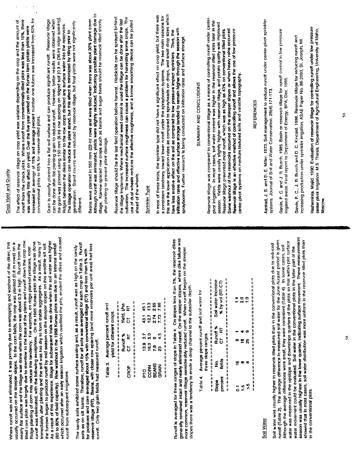soils as on silt loams. Therefore, runoff for all soils was averaged for each crop in Table 3. Runoff reservoir tillage (RT). Beans, with closer row spacing (and more reservoirs per unit area) had less<br>runoff. Only two grain fields had measured runoff. The sandy solls exhibited some surface sealing and, as a result, runoff was as high on the sandy for potatoes and corn averaged about 15% with conventional tillage (CT) and less than 5% with

|                                                          |                         |                        |                          | 45.1       | $\frac{3}{2}$ | 2.65          | 7.88  |
|----------------------------------------------------------|-------------------------|------------------------|--------------------------|------------|---------------|---------------|-------|
|                                                          |                         | Yield, tha<br>CT<br>CT |                          | ្នុ        | 127           | 2.74          | 7.73  |
|                                                          |                         | $\frac{1}{2}$          |                          | $13.9$ 3.7 | ္ဘ            | $\bullet$     | 4.5   |
| Average percent runoff and<br>yield for different crops. | Runoff %                | 5                      |                          |            | 16.0          | 7.8           | ន្ល   |
| Table 3.                                                 | 化比林林林化化化 化性性性性性性性 化化合物化 | CROP                   | 化拉利比比比 机机械机械机构机械机构机构机构机构 | <b>PLO</b> |               | CORN<br>BEANS | GRAIN |
|                                                          |                         |                        |                          |            |               |               |       |

generally remained intact and nearly eliminated runoff. On the steeper slopes, where dike fallure was<br>more common, reservoir tillage considerably reduced runoff. When runoff began on the steeper Runoff is averaged for three ranges of slope in Table 4. On slopes less than 5%, the reservoir dikes slopes there was a tendency to erode a deep channel to the subsoiler depth.

新社科技和科技科技和科技科技科技科技科技科技

| able 4. Average percent runoff and soil water for | 化特拉拉拉拉拉拉拉拉拉加加拉拉加拉拉拉拉加拉拉拉拉拉拉拉拉拉拉<br>计自由自由程序 计自由自由存储器 医精神性血清性性血清血清 计数据<br>Soil water increase<br>% by vol (FIT-CT) | $\ddot{ }$<br>្លុ<br>$\vec{r}$ |
|---------------------------------------------------|------------------------------------------------------------------------------------------------------------------|--------------------------------|
|                                                   | Runoff %<br>E                                                                                                    | o                              |
|                                                   | $\overline{5}$                                                                                                   | ۴<br>25<br>ຶ                   |
| three slope ranges.                               | fields<br>ş                                                                                                      | ä<br>œ<br>œ                    |
|                                                   | <b>Ricerd</b><br>slope                                                                                           | X<br>Ļ<br>Ī                    |

### Soil Water

season was usually highest in the lower quarter, indicating surface movement. These measurements<br>showed that in most cases, soil water distribution was more uniform in the reservoir tilled plots than runoff (Table 2). The average difference in measured soil water for the June-August period is given. water was measured in the upslope and downslope quarters of the plots so that within-plot surface Soil water was usually higher in reservoir-tilled plots than in the conventional plots due to reduced Although the average differences were small, they were consistent (Table 4). In some cases, soil water movement could be evaluated. Soil water in the conventional plots in the latter part of the in the conventional plots.

## Crop Yield and Quality

increased an average of 15% and average percent number one tubers was increased from 63% for runoff from the check plots. Where runoff from conventionally-tilled plots was less than 10%, there The effect of reservoir tillage on crop yield was variable depending on the crop and the amount of was usually little affect on yield. Over the five year period on the Kunau farm potato yields were conventional plots to 65% for reservoir-tilled plots.

can be done after flat planting grain to reduce runoff. However, better results were obtained when<br>the grain was planted using 150 mm (6 in) row spacing on ridged soil [0.9 m (36-in) ridge spacing] Grain is usually planted into a flat soil surface and can produce significant runoff. Reservoir iliage germination. Stand counts were reduced by reservoir tillage, but final yields were not significantly Ridges between the dikes similar to the row crops directed any surface water into the reservoirs. The tillage operation can reduce the plant stand, but this effect is minimized by tilling prior to different.

Although runoff was eliminated, yields were slightly reduced, indicating possible plant damage due to Beans were planted in 560 mm (22-in) rows and were tilled when there was about 30% plant cover. illage. Narrow-spaced row crops such as beans and sugar beets should be reservoir tilled shortly after planting to prevent plant damage.

cultivation. The increased surface roughness can cause a problem for harvesting some crops. The Reservoir tillage should be the last field operation before harvest. Herbicide can be sprayed behind the tillage implement. Where mechanical weed control is used the tillage can be done after the last use of dual wheels reduces the effective roughness, and a furrow smoothing device can be pulled ahead of the wheels.

### Sprinkler Type

his are the lower application rates as compared to sprayheads on drops, and small drop sizes which In most of these tests, the sprinkler type did not have a significant effect on crop yield, but there was a consistent tendency toward lower runoff under the sprayboom systems. The two main reasons for inflitration rates and effective surface storage tended to remain higher through the season with<br>spraybooms. Further research is being conducted on inflitration rates and surface storage. have less erosive effect on the soil as compared to low pressure impact sprinklers. Thus, the

# SUMMARY AND CONCLUSIONS

Reservoir tillage was compared to conventional tillage as a means of controlling nunoff under centerpivot irrigation. In most cases, soil water content was higher in the reservoir tilled plots later in the Yields were usually slightly higher with reservoir tillage, and potato quality was improved. Some washout of the reservoirs occurred on the steeper slopes or when heavy rains occurred. Reservoir tillage prevented most runoff, which was as high as 43% on convertional tilled plots. Reservoir tillage is an effective method of controlling runoff and allows the use of low pressure center-pivot systems on medium textured soils and variable topography. season.

## **REFERENCES**

Aarstad, J. S. and D. E. Willer. 1973. Soil management to reduce runoff under center-pivot sprinkler systems. Journal of Soil and Water Conservation. 28(4):171-173.

Garvin, P. C. and J. R. Busch, 1985. Basin or reservoir tillage for runoff control in low pressure trigated areas. Final report to Department of Energy, BPA, Dec. 1985.

Garvin, P. C., J. R. Busch and D. C. Kincaid. 1986. Reservoir tillage for reducing runoff and<br>increasing production under sprinkler irrigation. ASAE Paper No. 86-2093, St. Joseph, MI.

Hasheminia, Majid. 1990. Evaluation of reservoir tillage for controlling runoff under low pressure<br>center pivot irrigation. M.S. Thesis, Department of Agricultural Engineering, University of Idaho, Moscow.

ę,